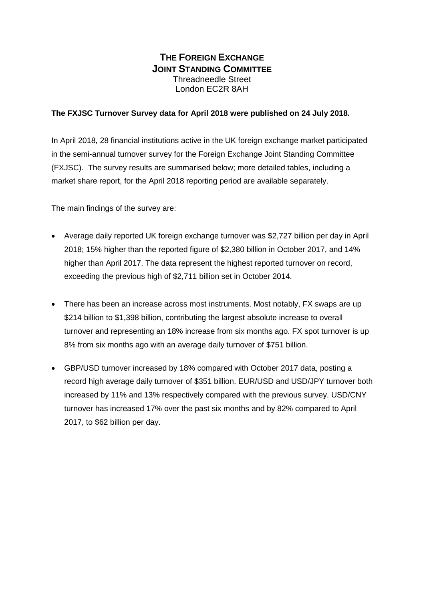### **THE FOREIGN EXCHANGE JOINT STANDING COMMITTEE** Threadneedle Street London EC2R 8AH

#### **The FXJSC Turnover Survey data for April 2018 were published on 24 July 2018.**

In April 2018, 28 financial institutions active in the UK foreign exchange market participated in the semi-annual turnover survey for the Foreign Exchange Joint Standing Committee (FXJSC). The survey results are summarised below; more detailed tables, including a market share report, for the April 2018 reporting period are available separately.

The main findings of the survey are:

- Average daily reported UK foreign exchange turnover was \$2,727 billion per day in April 2018; 15% higher than the reported figure of \$2,380 billion in October 2017, and 14% higher than April 2017. The data represent the highest reported turnover on record, exceeding the previous high of \$2,711 billion set in October 2014.
- There has been an increase across most instruments. Most notably, FX swaps are up \$214 billion to \$1,398 billion, contributing the largest absolute increase to overall turnover and representing an 18% increase from six months ago. FX spot turnover is up 8% from six months ago with an average daily turnover of \$751 billion.
- GBP/USD turnover increased by 18% compared with October 2017 data, posting a record high average daily turnover of \$351 billion. EUR/USD and USD/JPY turnover both increased by 11% and 13% respectively compared with the previous survey. USD/CNY turnover has increased 17% over the past six months and by 82% compared to April 2017, to \$62 billion per day.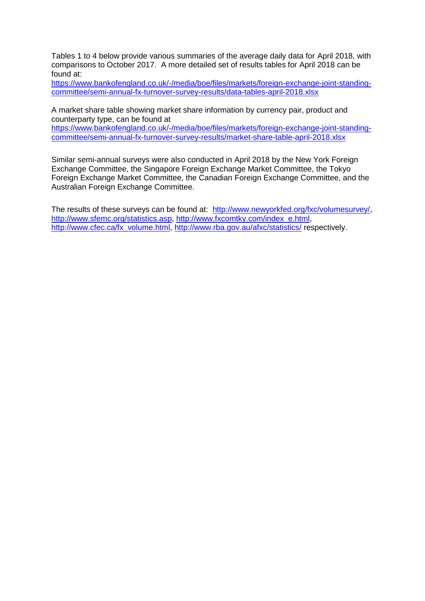Tables 1 to 4 below provide various summaries of the average daily data for April 2018, with comparisons to October 2017. A more detailed set of results tables for April 2018 can be found at:

[https://www.bankofengland.co.uk/-/media/boe/files/markets/foreign-exchange-joint-standing](https://www.bankofengland.co.uk/-/media/boe/files/markets/foreign-exchange-joint-standing-committee/semi-annual-fx-turnover-survey-results/data-tables-april-2018.xlsx)[committee/semi-annual-fx-turnover-survey-results/data-tables-april-2018.xlsx](https://www.bankofengland.co.uk/-/media/boe/files/markets/foreign-exchange-joint-standing-committee/semi-annual-fx-turnover-survey-results/data-tables-april-2018.xlsx)

A market share table showing market share information by currency pair, product and counterparty type, can be found at

[https://www.bankofengland.co.uk/-/media/boe/files/markets/foreign-exchange-joint-standing](https://www.bankofengland.co.uk/-/media/boe/files/markets/foreign-exchange-joint-standing-committee/semi-annual-fx-turnover-survey-results/market-share-table-april-2018.xlsx)[committee/semi-annual-fx-turnover-survey-results/market-share-table-april-2018.xlsx](https://www.bankofengland.co.uk/-/media/boe/files/markets/foreign-exchange-joint-standing-committee/semi-annual-fx-turnover-survey-results/market-share-table-april-2018.xlsx)

Similar semi-annual surveys were also conducted in April 2018 by the New York Foreign Exchange Committee, the Singapore Foreign Exchange Market Committee, the Tokyo Foreign Exchange Market Committee, the Canadian Foreign Exchange Committee, and the Australian Foreign Exchange Committee.

The results of these surveys can be found at: [http://www.newyorkfed.org/fxc/volumesurvey/,](http://www.newyorkfed.org/fxc/volumesurvey/) [http://www.sfemc.org/statistics.asp,](http://www.sfemc.org/statistics.asp) [http://www.fxcomtky.com/index\\_e.html,](http://www.fxcomtky.com/index_e.html) [http://www.cfec.ca/fx\\_volume.html,](http://www.cfec.ca/fx_volume.html)<http://www.rba.gov.au/afxc/statistics/> respectively.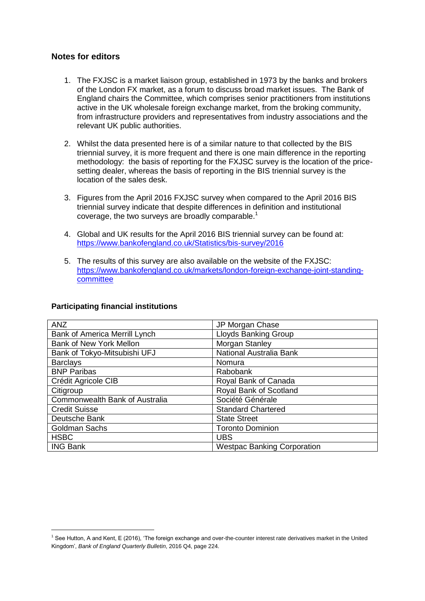#### **Notes for editors**

- 1. The FXJSC is a market liaison group, established in 1973 by the banks and brokers of the London FX market, as a forum to discuss broad market issues. The Bank of England chairs the Committee, which comprises senior practitioners from institutions active in the UK wholesale foreign exchange market, from the broking community, from infrastructure providers and representatives from industry associations and the relevant UK public authorities.
- 2. Whilst the data presented here is of a similar nature to that collected by the BIS triennial survey, it is more frequent and there is one main difference in the reporting methodology: the basis of reporting for the FXJSC survey is the location of the pricesetting dealer, whereas the basis of reporting in the BIS triennial survey is the location of the sales desk.
- 3. Figures from the April 2016 FXJSC survey when compared to the April 2016 BIS triennial survey indicate that despite differences in definition and institutional coverage, the two surveys are broadly comparable.<sup>1</sup>
- 4. Global and UK results for the April 2016 BIS triennial survey can be found at: <https://www.bankofengland.co.uk/Statistics/bis-survey/2016>
- 5. The results of this survey are also available on the website of the FXJSC: [https://www.bankofengland.co.uk/markets/london-foreign-exchange-joint-standing](https://www.bankofengland.co.uk/markets/london-foreign-exchange-joint-standing-committee)[committee](https://www.bankofengland.co.uk/markets/london-foreign-exchange-joint-standing-committee)

| <b>ANZ</b>                     | JP Morgan Chase                    |
|--------------------------------|------------------------------------|
| Bank of America Merrill Lynch  | <b>Lloyds Banking Group</b>        |
| Bank of New York Mellon        | Morgan Stanley                     |
| Bank of Tokyo-Mitsubishi UFJ   | National Australia Bank            |
| <b>Barclays</b>                | Nomura                             |
| <b>BNP Paribas</b>             | Rabobank                           |
| Crédit Agricole CIB            | Royal Bank of Canada               |
| Citigroup                      | Royal Bank of Scotland             |
| Commonwealth Bank of Australia | Société Générale                   |
| <b>Credit Suisse</b>           | <b>Standard Chartered</b>          |
| Deutsche Bank                  | <b>State Street</b>                |
| <b>Goldman Sachs</b>           | <b>Toronto Dominion</b>            |
| <b>HSBC</b>                    | <b>UBS</b>                         |
| <b>ING Bank</b>                | <b>Westpac Banking Corporation</b> |

#### **Participating financial institutions**

1

<sup>1</sup> See Hutton, A and Kent, E (2016), 'The foreign exchange and over-the-counter interest rate derivatives market in the United Kingdom', *Bank of England Quarterly Bulletin*, 2016 Q4, page 224.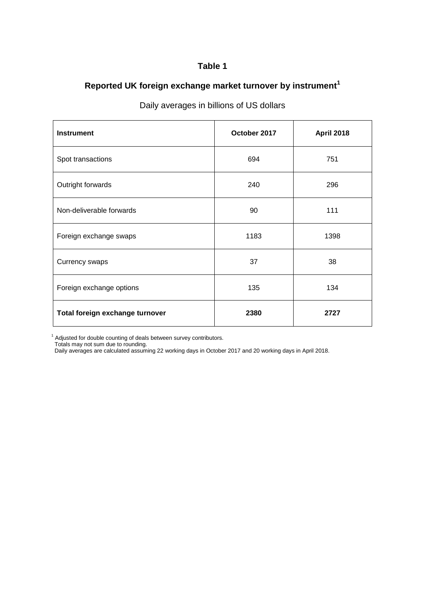# **Reported UK foreign exchange market turnover by instrument<sup>1</sup>**

| <b>Instrument</b>               | October 2017 | <b>April 2018</b> |  |
|---------------------------------|--------------|-------------------|--|
| Spot transactions               | 694          | 751               |  |
| Outright forwards               | 240          | 296               |  |
| Non-deliverable forwards        | 90           | 111               |  |
| Foreign exchange swaps          | 1183         | 1398              |  |
| <b>Currency swaps</b>           | 37           | 38                |  |
| Foreign exchange options        | 135          | 134               |  |
| Total foreign exchange turnover | 2380         | 2727              |  |

### Daily averages in billions of US dollars

 $1$  Adjusted for double counting of deals between survey contributors.

Totals may not sum due to rounding.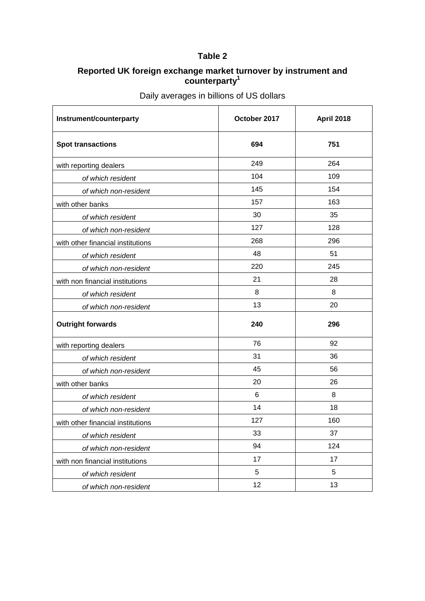### **Reported UK foreign exchange market turnover by instrument and counterparty<sup>1</sup>**

| Instrument/counterparty           | October 2017 | <b>April 2018</b> |
|-----------------------------------|--------------|-------------------|
| <b>Spot transactions</b>          | 694          | 751               |
| with reporting dealers            | 249          | 264               |
| of which resident                 | 104          | 109               |
| of which non-resident             | 145          | 154               |
| with other banks                  | 157          | 163               |
| of which resident                 | 30           | 35                |
| of which non-resident             | 127          | 128               |
| with other financial institutions | 268          | 296               |
| of which resident                 | 48           | 51                |
| of which non-resident             | 220          | 245               |
| with non financial institutions   | 21           | 28                |
| of which resident                 | 8            | 8                 |
| of which non-resident             | 13           | 20                |
| <b>Outright forwards</b>          | 240          | 296               |
| with reporting dealers            | 76           | 92                |
| of which resident                 | 31           | 36                |
| of which non-resident             | 45           | 56                |
| with other banks                  | 20           | 26                |
| of which resident                 | 6            | 8                 |
| of which non-resident             | 14           | 18                |
| with other financial institutions | 127          | 160               |
| of which resident                 | 33           | 37                |
| of which non-resident             | 94           | 124               |
| with non financial institutions   | 17           | 17                |
| of which resident                 | 5            | 5                 |
| of which non-resident             | 12           | 13                |

Daily averages in billions of US dollars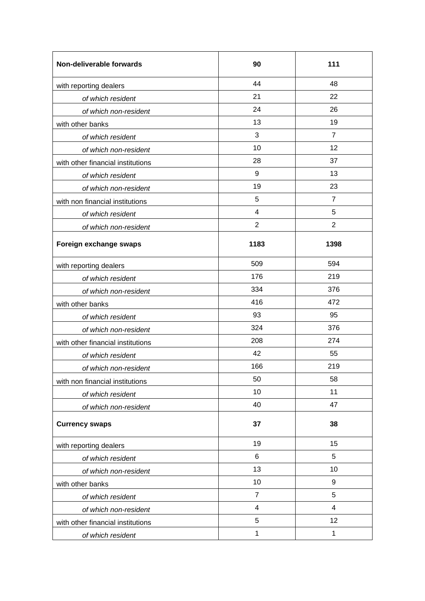| Non-deliverable forwards          | 90                      | 111            |  |
|-----------------------------------|-------------------------|----------------|--|
| with reporting dealers            | 44                      | 48             |  |
| of which resident                 | 21                      | 22             |  |
| of which non-resident             | 24                      | 26             |  |
| with other banks                  | 13                      | 19             |  |
| of which resident                 | 3                       | $\overline{7}$ |  |
| of which non-resident             | 10                      | 12             |  |
| with other financial institutions | 28                      | 37             |  |
| of which resident                 | 9                       | 13             |  |
| of which non-resident             | 19                      | 23             |  |
| with non financial institutions   | 5                       | $\overline{7}$ |  |
| of which resident                 | 4                       | 5              |  |
| of which non-resident             | $\overline{2}$          | $\overline{2}$ |  |
| Foreign exchange swaps            | 1183                    | 1398           |  |
| with reporting dealers            | 509                     | 594            |  |
| of which resident                 | 176                     | 219            |  |
| of which non-resident             | 334                     | 376            |  |
| with other banks                  | 416                     | 472            |  |
| of which resident                 | 93                      | 95             |  |
| of which non-resident             | 324                     | 376            |  |
| with other financial institutions | 208                     | 274            |  |
| of which resident                 | 42                      | 55             |  |
| of which non-resident             | 166                     | 219            |  |
| with non financial institutions   | 50                      | 58             |  |
| of which resident                 | 10                      | 11             |  |
| of which non-resident             | 40                      | 47             |  |
| <b>Currency swaps</b>             | 37                      | 38             |  |
| with reporting dealers            | 19                      | 15             |  |
| of which resident                 | 6                       | 5              |  |
| of which non-resident             | 13                      | 10             |  |
| with other banks                  | 10                      | 9              |  |
| of which resident                 | $\overline{7}$          | 5              |  |
| of which non-resident             | $\overline{\mathbf{4}}$ | 4              |  |
| with other financial institutions | 5                       | 12             |  |
| of which resident                 | $\mathbf{1}$            | 1              |  |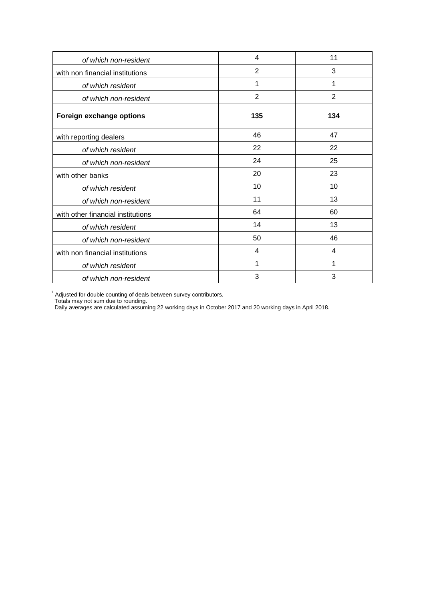| of which non-resident             | 4              | 11             |
|-----------------------------------|----------------|----------------|
| with non financial institutions   | $\overline{2}$ | 3              |
| of which resident                 | 1              | 1              |
| of which non-resident             | $\overline{2}$ | $\overline{2}$ |
| Foreign exchange options          | 135            | 134            |
| with reporting dealers            | 46             | 47             |
| of which resident                 | 22             | 22             |
| of which non-resident             | 24             | 25             |
| with other banks                  | 20             | 23             |
| of which resident                 | 10             | 10             |
| of which non-resident             | 11             | 13             |
| with other financial institutions | 64             | 60             |
| of which resident                 | 14             | 13             |
| of which non-resident             | 50             | 46             |
| with non financial institutions   | 4              | 4              |
| of which resident                 | 1              | 1              |
| of which non-resident             | 3              | 3              |

 $1$  Adjusted for double counting of deals between survey contributors.

Totals may not sum due to rounding.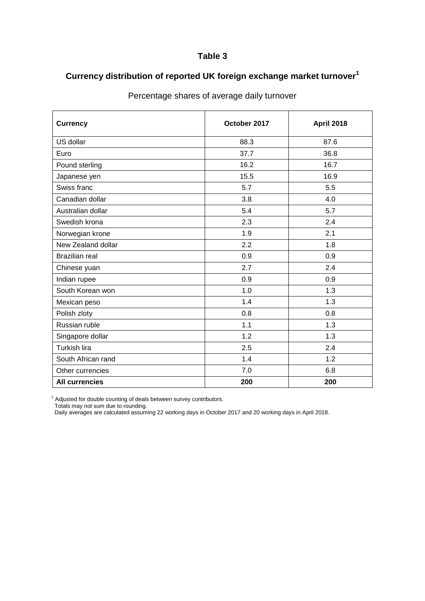# **Currency distribution of reported UK foreign exchange market turnover<sup>1</sup>**

| <b>Currency</b>       | October 2017 | <b>April 2018</b> |
|-----------------------|--------------|-------------------|
| US dollar             | 88.3         | 87.6              |
| Euro                  | 37.7         | 36.8              |
| Pound sterling        | 16.2         | 16.7              |
| Japanese yen          | 15.5         | 16.9              |
| Swiss franc           | 5.7          | 5.5               |
| Canadian dollar       | 3.8          | 4.0               |
| Australian dollar     | 5.4          | 5.7               |
| Swedish krona         | 2.3          | 2.4               |
| Norwegian krone       | 1.9          | 2.1               |
| New Zealand dollar    | 2.2          | 1.8               |
| <b>Brazilian real</b> | 0.9          | 0.9               |
| Chinese yuan          | 2.7          | 2.4               |
| Indian rupee          | 0.9          | 0.9               |
| South Korean won      | 1.0          | 1.3               |
| Mexican peso          | 1.4          | 1.3               |
| Polish zloty          | 0.8          | 0.8               |
| Russian ruble         | 1.1          | 1.3               |
| Singapore dollar      | 1.2          | 1.3               |
| <b>Turkish lira</b>   | 2.5          | 2.4               |
| South African rand    | 1.4          | 1.2               |
| Other currencies      | 7.0          | 6.8               |
| <b>All currencies</b> | 200          | 200               |

## Percentage shares of average daily turnover

 $1$  Adjusted for double counting of deals between survey contributors.

Totals may not sum due to rounding.